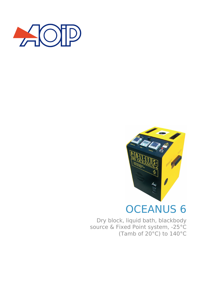



# OCEANUS 6

Dry block, liquid bath, blackbody source & Fixed Point system, -25°C (Tamb of 20°C) to 140°C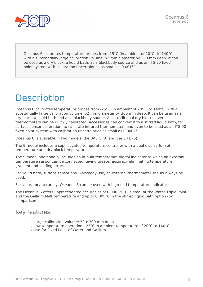

Oceanus 6 calibrates temperature probes from -25°C (in ambient of 20°C) to 140°C, with a substantially large calibration volume, 52 mm diameter by 300 mm deep. It can be used as a dry block, a liquid bath, as a blackbody source and as an ITS-90 fixed point system with calibration uncertainties as small as 0.001°C.

## **Description**

Oceanus 6 calibrates temperature probes from -25°C (in ambient of 20°C) to 140°C, with a substantially large calibration volume, 52 mm diameter by 300 mm deep. It can be used as a dry block, a liquid bath and as a blackbody source. As a traditional dry block, several thermometers can be quickly calibrated. Accessories can convert it to a stirred liquid bath, for surface sensor calibration, to calibrate infrared thermometers and even to be used as an ITS-90 fixed point system with calibration uncertainties as small as 0.0002°C.

Oceanus 6 is available in two models, the BASIC (B) and the SITE (S).

The B model includes a sophisticated temperature controller with a dual display for set temperature and dry block temperature,

The S model additionally includes an in-built temperature digital indicator to which an external temperature sensor can be connected, giving greater accuracy eliminating temperature gradient and loading errors.

For liquid bath, surface sensor and Blackbody use, an external thermometer should always be used.

For laboratory accuracy, Oceanus 6 can be used with high-end temperature indicator.

The Oceanus 6 offers unprecedented accuracies of 0.0002°C (2 sigma) at the Water Triple Point and the Gallium Melt temperature and up to 0.005°C in the stirred liquid bath option (by comparison).

### Key features:

- Large calibration volume: 50 x 300 mm deep
- Low temperature operation: -25ºC in ambient temperature of 20ºC to 140°C
- Use for Fixed Point of Water and Gallium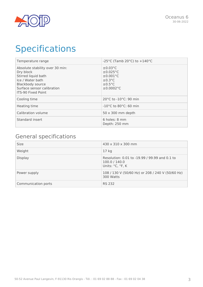

## **Specifications**

| Temperature range                                                                                                                                                             | -25°C (Tamb 20°C) to $+140$ °C                                                                       |
|-------------------------------------------------------------------------------------------------------------------------------------------------------------------------------|------------------------------------------------------------------------------------------------------|
| Absolute stability over 30 min:<br>Dry block<br>Stirred liquid bath<br>Ice / Water bath<br><b>Blackbody source</b><br>Surface sensor calibration<br><b>ITS-90 Fixed Point</b> | $\pm 0.03$ °C<br>$\pm 0.025$ °C<br>$\pm 0.001$ °C<br>$\pm 0.3$ °C<br>$\pm 0.5$ °C<br>$\pm 0.0002$ °C |
| Cooling time                                                                                                                                                                  | 20°C to -10°C: 90 min                                                                                |
| Heating time                                                                                                                                                                  | $-10^{\circ}$ C to 80 $^{\circ}$ C: 60 min                                                           |
| Calibration volume                                                                                                                                                            | $50 \times 300$ mm depth                                                                             |
| Standard insert                                                                                                                                                               | 6 holes: 8 mm<br>Depth: 250 mm                                                                       |

### General specifications

| <b>Size</b>         | 430 x 310 x 300 mm                                                                 |
|---------------------|------------------------------------------------------------------------------------|
| Weight              | 17 <sub>kg</sub>                                                                   |
| <b>Display</b>      | Resolution: 0.01 to -19.99 / 99.99 and 0.1 to<br>100.0 / 140.0<br>Units: °C, °F, K |
| Power supply        | 108 / 130 V (50/60 Hz) or 208 / 240 V (50/60 Hz)<br>300 Watts                      |
| Communication ports | <b>RS 232</b>                                                                      |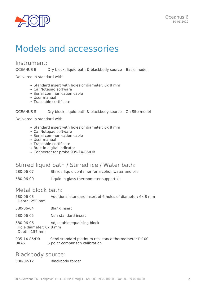

### Models and accessories

#### Instrument:

OCEANUS B Dry block, liquid bath & blackbody source - Basic model

Delivered in standard with:

- Standard insert with holes of diameter: 6x 8 mm
- Cal Notepad software
- Serial communication cable
- User manual
- Traceable certificate

#### OCEANUS S Dry block, liquid bath & blackbody source - On Site model

Delivered in standard with:

- Standard insert with holes of diameter: 6x 8 mm
- Cal Notepad software
- Serial communication cable
- User manual
- Traceable certificate
- Built-in digital indicator
- Connector for probe 935-14-85/DB

#### Stirred liquid bath / Stirred ice / Water bath:

580-06-07 Stirred liquid container for alcohol, water and oils

580-06-00 Liquid in glass thermometer support kit

#### Metal block bath:

580-06-03 Additional standard insert of 6 holes of diameter: 6x 8 mm Depth: 250 mm

580-06-04 Blank insert

580-06-05 Non-standard insert

580-06-06 Adjustable equalising block Hole diameter: 6x 8 mm

Depth: 157 mm

935-14-85/DB Semi standard platinum resistance thermometer Pt100 UKAS 5 point comparison calibration

#### Blackbody source:

580-02-12 Blackbody target